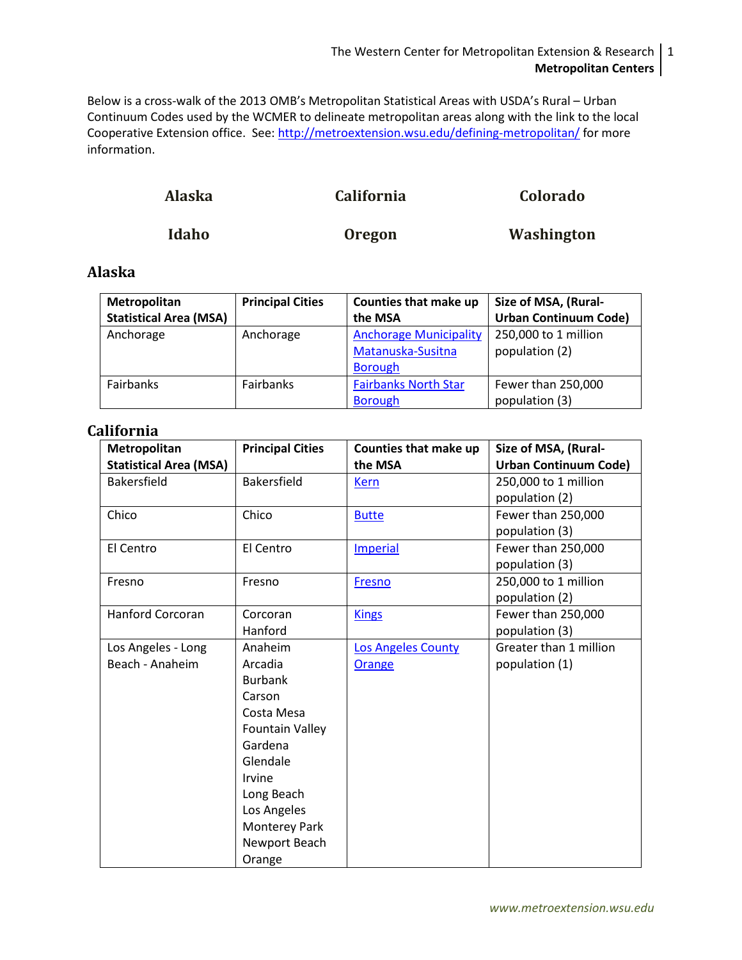#### The Western Center for Metropolitan Extension & Research 1 **Metropolitan Centers**

Below is a cross-walk of the 2013 OMB's Metropolitan Statistical Areas with USDA's Rural – Urban Continuum Codes used by the WCMER to delineate metropolitan areas along with the link to the local Cooperative Extension office. See:<http://metroextension.wsu.edu/defining-metropolitan/> for more information.

| <b>Alaska</b> | <b>California</b> | Colorado   |
|---------------|-------------------|------------|
| Idaho         | <b>Oregon</b>     | Washington |

### <span id="page-0-0"></span>**Alaska**

| Metropolitan                  | <b>Principal Cities</b> | Counties that make up         | Size of MSA, (Rural-         |
|-------------------------------|-------------------------|-------------------------------|------------------------------|
| <b>Statistical Area (MSA)</b> |                         | the MSA                       | <b>Urban Continuum Code)</b> |
| Anchorage                     | Anchorage               | <b>Anchorage Municipality</b> | 250,000 to 1 million         |
|                               |                         | Matanuska-Susitna             | population (2)               |
|                               |                         | <b>Borough</b>                |                              |
| Fairbanks                     | Fairbanks               | <b>Fairbanks North Star</b>   | Fewer than 250,000           |
|                               |                         | <b>Borough</b>                | population (3)               |

### <span id="page-0-1"></span>**California**

| Metropolitan                  | <b>Principal Cities</b> | Counties that make up     | Size of MSA, (Rural-         |
|-------------------------------|-------------------------|---------------------------|------------------------------|
| <b>Statistical Area (MSA)</b> |                         | the MSA                   | <b>Urban Continuum Code)</b> |
| Bakersfield                   | <b>Bakersfield</b>      | <b>Kern</b>               | 250,000 to 1 million         |
|                               |                         |                           | population (2)               |
| Chico                         | Chico                   | <b>Butte</b>              | Fewer than 250,000           |
|                               |                         |                           | population (3)               |
| El Centro                     | El Centro               | Imperial                  | Fewer than 250,000           |
|                               |                         |                           | population (3)               |
| Fresno                        | Fresno                  | <b>Fresno</b>             | 250,000 to 1 million         |
|                               |                         |                           | population (2)               |
| <b>Hanford Corcoran</b>       | Corcoran                | <b>Kings</b>              | Fewer than 250,000           |
|                               | Hanford                 |                           | population (3)               |
| Los Angeles - Long            | Anaheim                 | <b>Los Angeles County</b> | Greater than 1 million       |
| Beach - Anaheim               | Arcadia                 | <b>Orange</b>             | population (1)               |
|                               | <b>Burbank</b>          |                           |                              |
|                               | Carson                  |                           |                              |
|                               | Costa Mesa              |                           |                              |
|                               | <b>Fountain Valley</b>  |                           |                              |
|                               | Gardena                 |                           |                              |
|                               | Glendale                |                           |                              |
|                               | Irvine                  |                           |                              |
|                               | Long Beach              |                           |                              |
|                               | Los Angeles             |                           |                              |
|                               | Monterey Park           |                           |                              |
|                               | Newport Beach           |                           |                              |
|                               | Orange                  |                           |                              |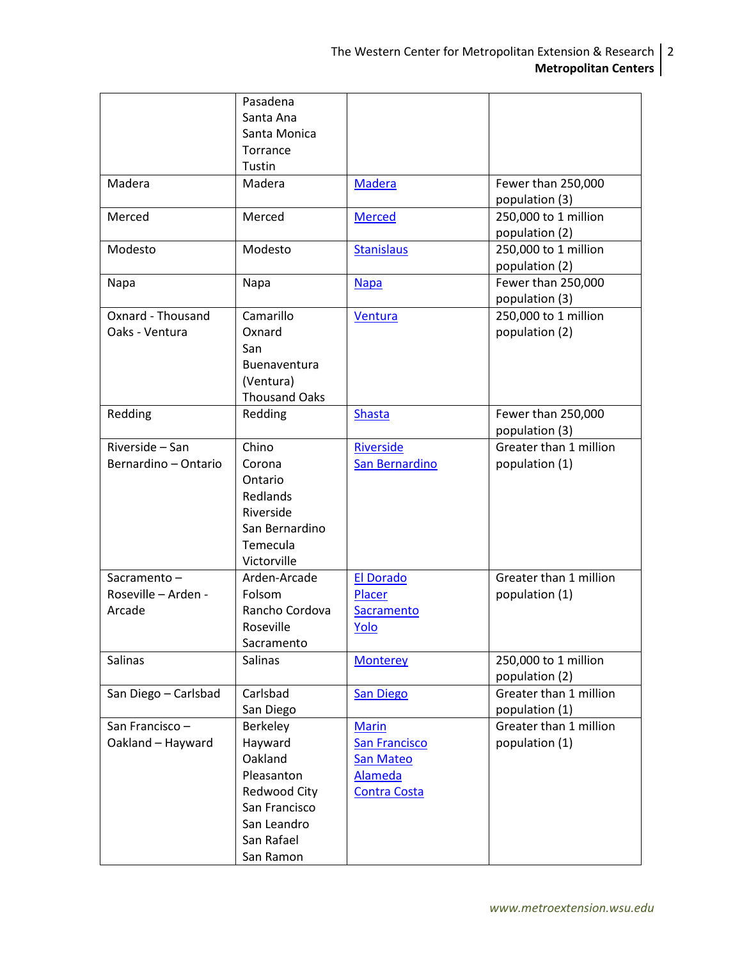|                      | Pasadena             |                      |                                          |
|----------------------|----------------------|----------------------|------------------------------------------|
|                      | Santa Ana            |                      |                                          |
|                      | Santa Monica         |                      |                                          |
|                      | Torrance             |                      |                                          |
|                      | Tustin               |                      |                                          |
| Madera               | Madera               | <b>Madera</b>        | Fewer than 250,000                       |
|                      |                      |                      | population (3)                           |
| Merced               | Merced               |                      | 250,000 to 1 million                     |
|                      |                      | <b>Merced</b>        |                                          |
|                      |                      |                      | population (2)                           |
| Modesto              | Modesto              | <b>Stanislaus</b>    | 250,000 to 1 million                     |
|                      |                      |                      | population (2)                           |
| Napa                 | Napa                 | <b>Napa</b>          | Fewer than 250,000                       |
|                      |                      |                      | population (3)                           |
| Oxnard - Thousand    | Camarillo            | Ventura              | 250,000 to 1 million                     |
| Oaks - Ventura       | Oxnard               |                      | population (2)                           |
|                      | San                  |                      |                                          |
|                      | Buenaventura         |                      |                                          |
|                      | (Ventura)            |                      |                                          |
|                      | <b>Thousand Oaks</b> |                      |                                          |
| Redding              | Redding              | <b>Shasta</b>        | Fewer than 250,000                       |
|                      |                      |                      | population (3)                           |
| Riverside - San      | Chino                | <b>Riverside</b>     | Greater than 1 million                   |
| Bernardino - Ontario | Corona               | San Bernardino       | population (1)                           |
|                      | Ontario              |                      |                                          |
|                      | Redlands             |                      |                                          |
|                      | Riverside            |                      |                                          |
|                      | San Bernardino       |                      |                                          |
|                      | Temecula             |                      |                                          |
|                      | Victorville          |                      |                                          |
| Sacramento-          | Arden-Arcade         | <b>El Dorado</b>     | Greater than 1 million                   |
| Roseville - Arden -  | Folsom               | Placer               | population (1)                           |
| Arcade               | Rancho Cordova       | Sacramento           |                                          |
|                      | Roseville            | Yolo                 |                                          |
|                      | Sacramento           |                      |                                          |
| Salinas              | Salinas              |                      | 250,000 to 1 million                     |
|                      |                      | <b>Monterey</b>      |                                          |
|                      | Carlsbad             |                      | population (2)<br>Greater than 1 million |
| San Diego - Carlsbad |                      | <b>San Diego</b>     |                                          |
|                      | San Diego            |                      | population (1)                           |
| San Francisco-       | Berkeley             | <b>Marin</b>         | Greater than 1 million                   |
| Oakland - Hayward    | Hayward              | <b>San Francisco</b> | population (1)                           |
|                      | Oakland              | San Mateo            |                                          |
|                      | Pleasanton           | <b>Alameda</b>       |                                          |
|                      | Redwood City         | <b>Contra Costa</b>  |                                          |
|                      | San Francisco        |                      |                                          |
|                      | San Leandro          |                      |                                          |
|                      | San Rafael           |                      |                                          |
|                      | San Ramon            |                      |                                          |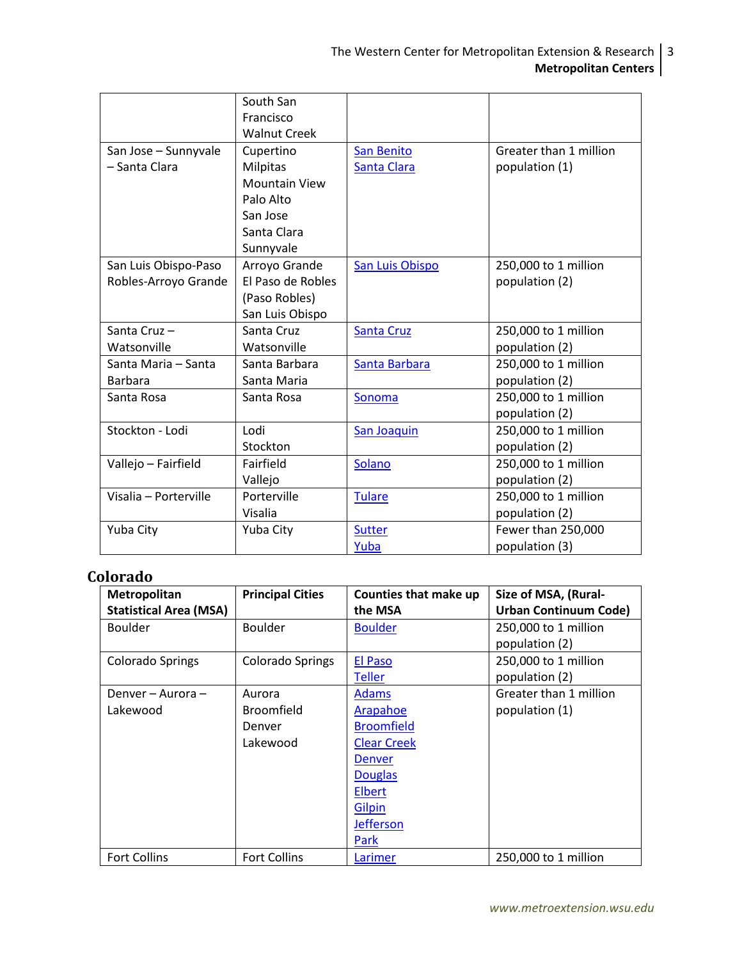|                       | South San            |                   |                        |
|-----------------------|----------------------|-------------------|------------------------|
|                       | Francisco            |                   |                        |
|                       | <b>Walnut Creek</b>  |                   |                        |
| San Jose - Sunnyvale  | Cupertino            | San Benito        | Greater than 1 million |
| - Santa Clara         | <b>Milpitas</b>      | Santa Clara       | population (1)         |
|                       | <b>Mountain View</b> |                   |                        |
|                       | Palo Alto            |                   |                        |
|                       | San Jose             |                   |                        |
|                       | Santa Clara          |                   |                        |
|                       | Sunnyvale            |                   |                        |
| San Luis Obispo-Paso  | Arroyo Grande        | San Luis Obispo   | 250,000 to 1 million   |
| Robles-Arroyo Grande  | El Paso de Robles    |                   | population (2)         |
|                       | (Paso Robles)        |                   |                        |
|                       | San Luis Obispo      |                   |                        |
| Santa Cruz-           | Santa Cruz           | <b>Santa Cruz</b> | 250,000 to 1 million   |
| Watsonville           | Watsonville          |                   | population (2)         |
| Santa Maria - Santa   | Santa Barbara        | Santa Barbara     | 250,000 to 1 million   |
| Barbara               | Santa Maria          |                   | population (2)         |
| Santa Rosa            | Santa Rosa           | Sonoma            | 250,000 to 1 million   |
|                       |                      |                   | population (2)         |
| Stockton - Lodi       | Lodi                 | San Joaquin       | 250,000 to 1 million   |
|                       | <b>Stockton</b>      |                   | population (2)         |
| Vallejo - Fairfield   | Fairfield            | Solano            | 250,000 to 1 million   |
|                       | Vallejo              |                   | population (2)         |
| Visalia - Porterville | Porterville          | <b>Tulare</b>     | 250,000 to 1 million   |
|                       | Visalia              |                   | population (2)         |
| Yuba City             | Yuba City            | <b>Sutter</b>     | Fewer than 250,000     |
|                       |                      | Yuba              | population (3)         |

# <span id="page-2-0"></span>**Colorado**

| Metropolitan                  | <b>Principal Cities</b> | Counties that make up | Size of MSA, (Rural-         |
|-------------------------------|-------------------------|-----------------------|------------------------------|
| <b>Statistical Area (MSA)</b> |                         | the MSA               | <b>Urban Continuum Code)</b> |
| <b>Boulder</b>                | <b>Boulder</b>          | <b>Boulder</b>        | 250,000 to 1 million         |
|                               |                         |                       | population (2)               |
| Colorado Springs              | Colorado Springs        | El Paso               | 250,000 to 1 million         |
|                               |                         | <b>Teller</b>         | population (2)               |
| Denver – Aurora –             | Aurora                  | <b>Adams</b>          | Greater than 1 million       |
| Lakewood                      | <b>Broomfield</b>       | Arapahoe              | population (1)               |
|                               | Denver                  | <b>Broomfield</b>     |                              |
|                               | Lakewood                | <b>Clear Creek</b>    |                              |
|                               |                         | <b>Denver</b>         |                              |
|                               |                         | <b>Douglas</b>        |                              |
|                               |                         | Elbert                |                              |
|                               |                         | <b>Gilpin</b>         |                              |
|                               |                         | <b>Jefferson</b>      |                              |
|                               |                         | Park                  |                              |
| <b>Fort Collins</b>           | <b>Fort Collins</b>     | Larimer               | 250,000 to 1 million         |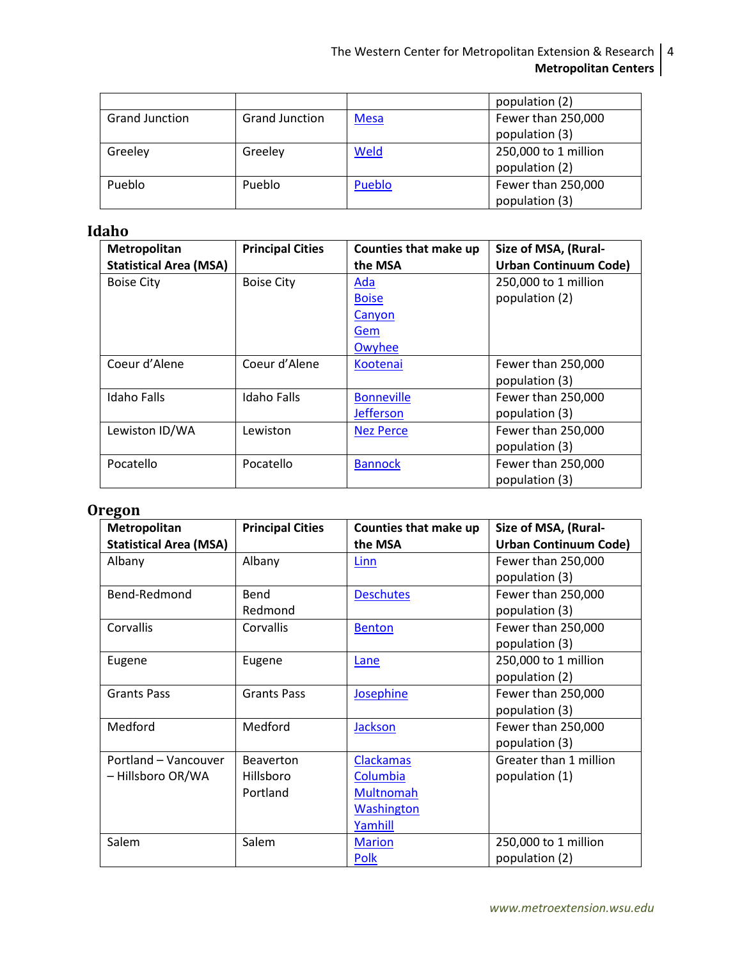|                       |                       |             | population (2)       |
|-----------------------|-----------------------|-------------|----------------------|
| <b>Grand Junction</b> | <b>Grand Junction</b> | <b>Mesa</b> | Fewer than 250,000   |
|                       |                       |             | population (3)       |
| Greeley               | Greeley               | Weld        | 250,000 to 1 million |
|                       |                       |             | population (2)       |
| Pueblo                | Pueblo                | Pueblo      | Fewer than 250,000   |
|                       |                       |             | population (3)       |

## <span id="page-3-0"></span>**Idaho**

| Metropolitan                  | <b>Principal Cities</b> | Counties that make up | Size of MSA, (Rural-         |
|-------------------------------|-------------------------|-----------------------|------------------------------|
| <b>Statistical Area (MSA)</b> |                         | the MSA               | <b>Urban Continuum Code)</b> |
| <b>Boise City</b>             | <b>Boise City</b>       | <u>Ada</u>            | 250,000 to 1 million         |
|                               |                         | <b>Boise</b>          | population (2)               |
|                               |                         | Canyon                |                              |
|                               |                         | Gem                   |                              |
|                               |                         | Owyhee                |                              |
| Coeur d'Alene                 | Coeur d'Alene           | Kootenai              | Fewer than 250,000           |
|                               |                         |                       | population (3)               |
| <b>Idaho Falls</b>            | Idaho Falls             | <b>Bonneville</b>     | Fewer than 250,000           |
|                               |                         | <b>Jefferson</b>      | population (3)               |
| Lewiston ID/WA                | Lewiston                | <b>Nez Perce</b>      | Fewer than 250,000           |
|                               |                         |                       | population (3)               |
| Pocatello                     | Pocatello               | <b>Bannock</b>        | Fewer than 250,000           |
|                               |                         |                       | population (3)               |

## <span id="page-3-1"></span>**Oregon**

| Metropolitan                  | <b>Principal Cities</b> | Counties that make up | Size of MSA, (Rural-         |
|-------------------------------|-------------------------|-----------------------|------------------------------|
| <b>Statistical Area (MSA)</b> |                         | the MSA               | <b>Urban Continuum Code)</b> |
| Albany                        | Albany                  | Linn                  | Fewer than 250,000           |
|                               |                         |                       | population (3)               |
| Bend-Redmond                  | Bend                    | <b>Deschutes</b>      | Fewer than 250,000           |
|                               | Redmond                 |                       | population (3)               |
| Corvallis                     | Corvallis               | <b>Benton</b>         | Fewer than 250,000           |
|                               |                         |                       | population (3)               |
| Eugene                        | Eugene                  | Lane                  | 250,000 to 1 million         |
|                               |                         |                       | population (2)               |
| <b>Grants Pass</b>            | <b>Grants Pass</b>      | Josephine             | Fewer than 250,000           |
|                               |                         |                       | population (3)               |
| Medford                       | Medford                 | Jackson               | Fewer than 250,000           |
|                               |                         |                       | population (3)               |
| Portland - Vancouver          | <b>Beaverton</b>        | <b>Clackamas</b>      | Greater than 1 million       |
| - Hillsboro OR/WA             | Hillsboro               | Columbia              | population (1)               |
|                               | Portland                | <b>Multnomah</b>      |                              |
|                               |                         | <b>Washington</b>     |                              |
|                               |                         | Yamhill               |                              |
| Salem                         | Salem                   | <b>Marion</b>         | 250,000 to 1 million         |
|                               |                         | <b>Polk</b>           | population (2)               |